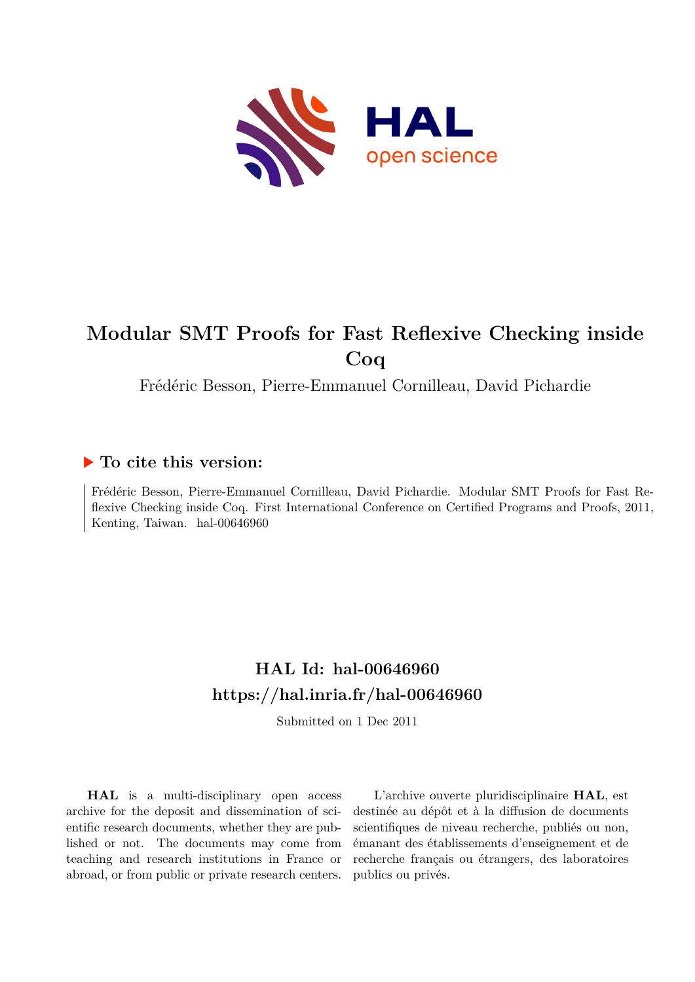

# **Modular SMT Proofs for Fast Reflexive Checking inside Coq**

Frédéric Besson, Pierre-Emmanuel Cornilleau, David Pichardie

### **To cite this version:**

Frédéric Besson, Pierre-Emmanuel Cornilleau, David Pichardie. Modular SMT Proofs for Fast Reflexive Checking inside Coq. First International Conference on Certified Programs and Proofs, 2011, Kenting, Taiwan. hal-00646960

## **HAL Id: hal-00646960 <https://hal.inria.fr/hal-00646960>**

Submitted on 1 Dec 2011

**HAL** is a multi-disciplinary open access archive for the deposit and dissemination of scientific research documents, whether they are published or not. The documents may come from teaching and research institutions in France or abroad, or from public or private research centers.

L'archive ouverte pluridisciplinaire **HAL**, est destinée au dépôt et à la diffusion de documents scientifiques de niveau recherche, publiés ou non, émanant des établissements d'enseignement et de recherche français ou étrangers, des laboratoires publics ou privés.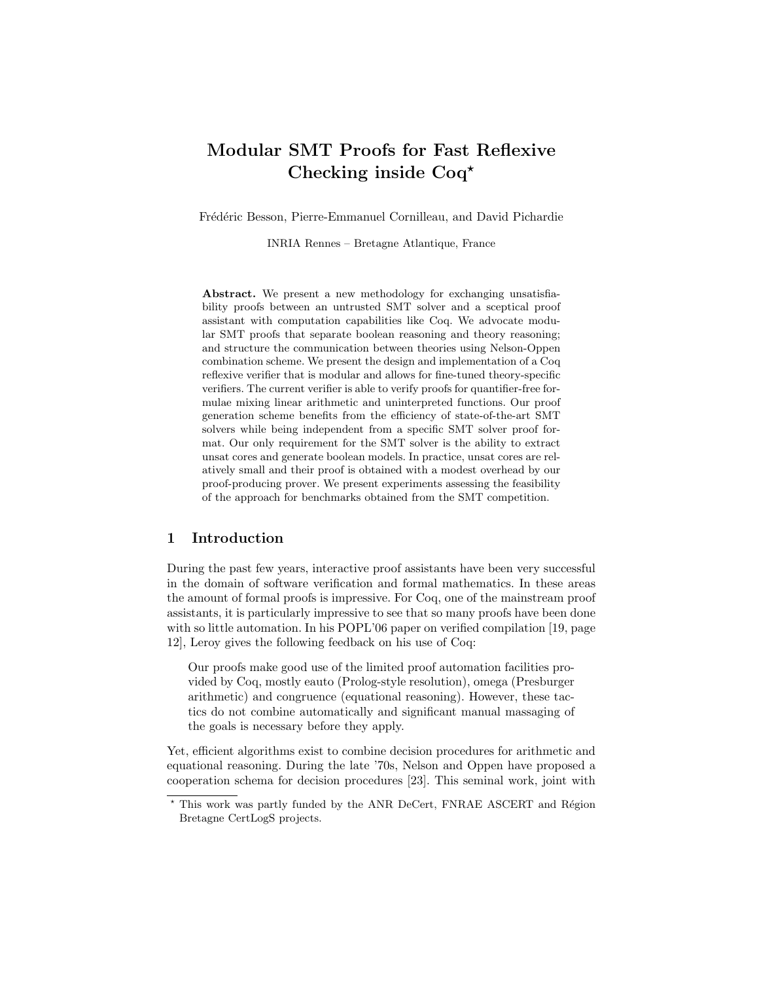## Modular SMT Proofs for Fast Reflexive Checking inside Coq<sup>\*</sup>

Frédéric Besson, Pierre-Emmanuel Cornilleau, and David Pichardie

INRIA Rennes – Bretagne Atlantique, France

Abstract. We present a new methodology for exchanging unsatisfiability proofs between an untrusted SMT solver and a sceptical proof assistant with computation capabilities like Coq. We advocate modular SMT proofs that separate boolean reasoning and theory reasoning; and structure the communication between theories using Nelson-Oppen combination scheme. We present the design and implementation of a Coq reflexive verifier that is modular and allows for fine-tuned theory-specific verifiers. The current verifier is able to verify proofs for quantifier-free formulae mixing linear arithmetic and uninterpreted functions. Our proof generation scheme benefits from the efficiency of state-of-the-art SMT solvers while being independent from a specific SMT solver proof format. Our only requirement for the SMT solver is the ability to extract unsat cores and generate boolean models. In practice, unsat cores are relatively small and their proof is obtained with a modest overhead by our proof-producing prover. We present experiments assessing the feasibility of the approach for benchmarks obtained from the SMT competition.

#### 1 Introduction

During the past few years, interactive proof assistants have been very successful in the domain of software verification and formal mathematics. In these areas the amount of formal proofs is impressive. For Coq, one of the mainstream proof assistants, it is particularly impressive to see that so many proofs have been done with so little automation. In his POPL'06 paper on verified compilation [19, page 12], Leroy gives the following feedback on his use of Coq:

Our proofs make good use of the limited proof automation facilities provided by Coq, mostly eauto (Prolog-style resolution), omega (Presburger arithmetic) and congruence (equational reasoning). However, these tactics do not combine automatically and significant manual massaging of the goals is necessary before they apply.

Yet, efficient algorithms exist to combine decision procedures for arithmetic and equational reasoning. During the late '70s, Nelson and Oppen have proposed a cooperation schema for decision procedures [23]. This seminal work, joint with

 $*$  This work was partly funded by the ANR DeCert, FNRAE ASCERT and Région Bretagne CertLogS projects.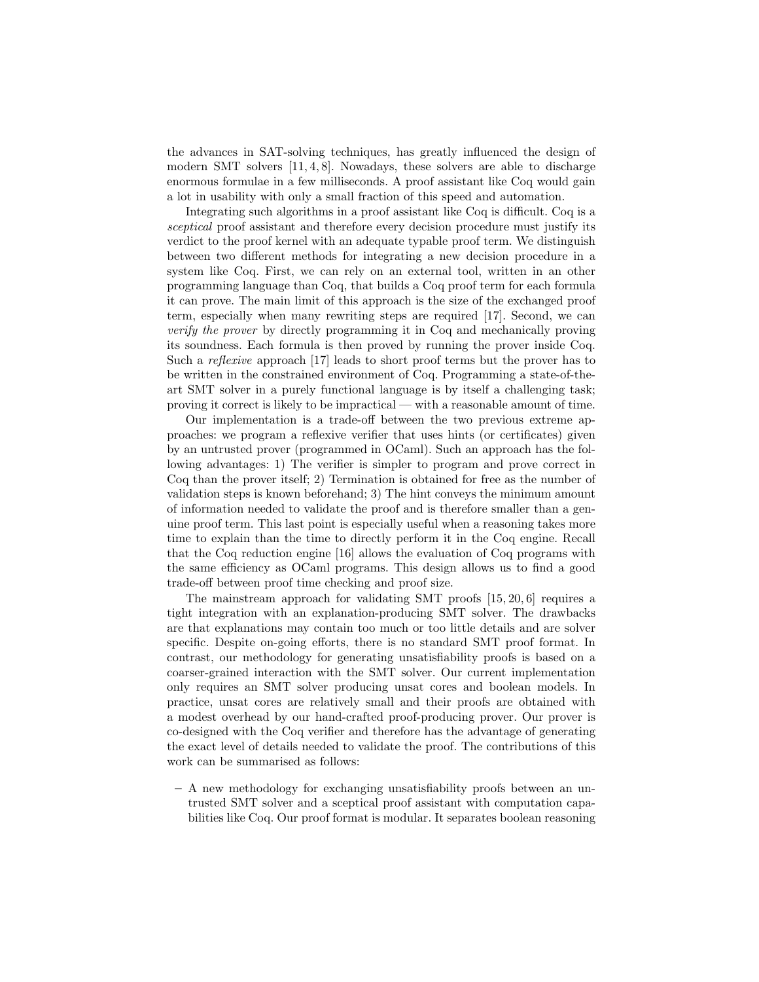the advances in SAT-solving techniques, has greatly influenced the design of modern SMT solvers  $[11, 4, 8]$ . Nowadays, these solvers are able to discharge enormous formulae in a few milliseconds. A proof assistant like Coq would gain a lot in usability with only a small fraction of this speed and automation.

Integrating such algorithms in a proof assistant like Coq is difficult. Coq is a sceptical proof assistant and therefore every decision procedure must justify its verdict to the proof kernel with an adequate typable proof term. We distinguish between two different methods for integrating a new decision procedure in a system like Coq. First, we can rely on an external tool, written in an other programming language than Coq, that builds a Coq proof term for each formula it can prove. The main limit of this approach is the size of the exchanged proof term, especially when many rewriting steps are required [17]. Second, we can verify the prover by directly programming it in Coq and mechanically proving its soundness. Each formula is then proved by running the prover inside Coq. Such a reflexive approach [17] leads to short proof terms but the prover has to be written in the constrained environment of Coq. Programming a state-of-theart SMT solver in a purely functional language is by itself a challenging task; proving it correct is likely to be impractical — with a reasonable amount of time.

Our implementation is a trade-off between the two previous extreme approaches: we program a reflexive verifier that uses hints (or certificates) given by an untrusted prover (programmed in OCaml). Such an approach has the following advantages: 1) The verifier is simpler to program and prove correct in Coq than the prover itself; 2) Termination is obtained for free as the number of validation steps is known beforehand; 3) The hint conveys the minimum amount of information needed to validate the proof and is therefore smaller than a genuine proof term. This last point is especially useful when a reasoning takes more time to explain than the time to directly perform it in the Coq engine. Recall that the Coq reduction engine [16] allows the evaluation of Coq programs with the same efficiency as OCaml programs. This design allows us to find a good trade-off between proof time checking and proof size.

The mainstream approach for validating SMT proofs [15, 20, 6] requires a tight integration with an explanation-producing SMT solver. The drawbacks are that explanations may contain too much or too little details and are solver specific. Despite on-going efforts, there is no standard SMT proof format. In contrast, our methodology for generating unsatisfiability proofs is based on a coarser-grained interaction with the SMT solver. Our current implementation only requires an SMT solver producing unsat cores and boolean models. In practice, unsat cores are relatively small and their proofs are obtained with a modest overhead by our hand-crafted proof-producing prover. Our prover is co-designed with the Coq verifier and therefore has the advantage of generating the exact level of details needed to validate the proof. The contributions of this work can be summarised as follows:

– A new methodology for exchanging unsatisfiability proofs between an untrusted SMT solver and a sceptical proof assistant with computation capabilities like Coq. Our proof format is modular. It separates boolean reasoning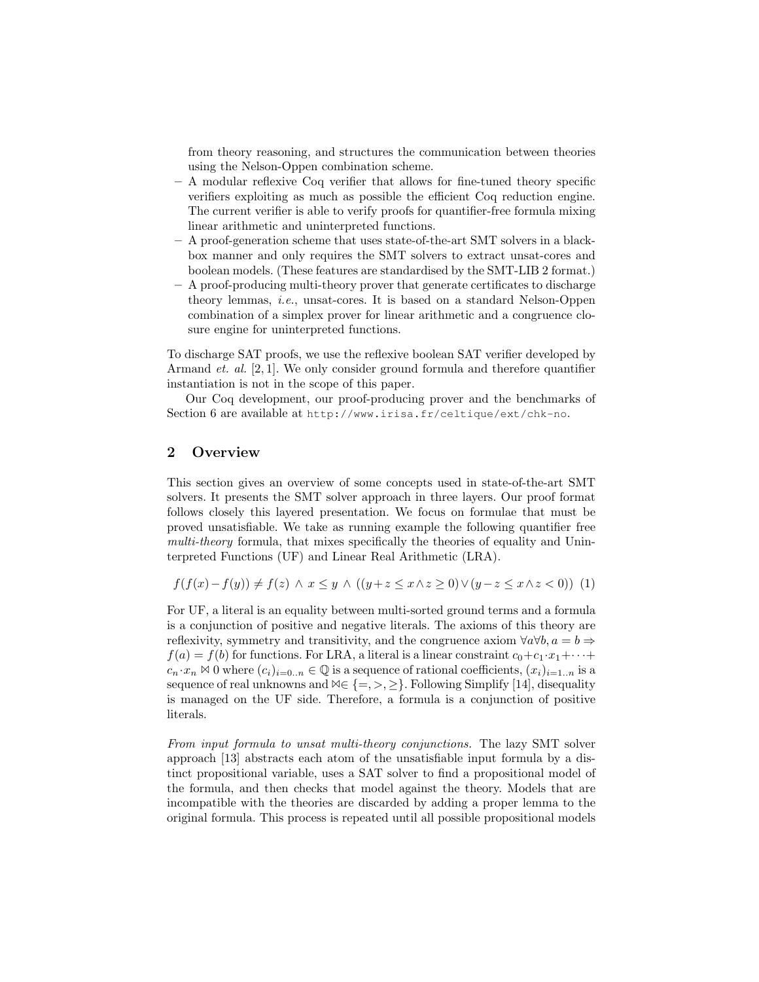from theory reasoning, and structures the communication between theories using the Nelson-Oppen combination scheme.

- A modular reflexive Coq verifier that allows for fine-tuned theory specific verifiers exploiting as much as possible the efficient Coq reduction engine. The current verifier is able to verify proofs for quantifier-free formula mixing linear arithmetic and uninterpreted functions.
- A proof-generation scheme that uses state-of-the-art SMT solvers in a blackbox manner and only requires the SMT solvers to extract unsat-cores and boolean models. (These features are standardised by the SMT-LIB 2 format.)
- A proof-producing multi-theory prover that generate certificates to discharge theory lemmas, i.e., unsat-cores. It is based on a standard Nelson-Oppen combination of a simplex prover for linear arithmetic and a congruence closure engine for uninterpreted functions.

To discharge SAT proofs, we use the reflexive boolean SAT verifier developed by Armand et. al. [2, 1]. We only consider ground formula and therefore quantifier instantiation is not in the scope of this paper.

Our Coq development, our proof-producing prover and the benchmarks of Section 6 are available at http://www.irisa.fr/celtique/ext/chk-no.

#### 2 Overview

This section gives an overview of some concepts used in state-of-the-art SMT solvers. It presents the SMT solver approach in three layers. Our proof format follows closely this layered presentation. We focus on formulae that must be proved unsatisfiable. We take as running example the following quantifier free multi-theory formula, that mixes specifically the theories of equality and Uninterpreted Functions (UF) and Linear Real Arithmetic (LRA).

$$
f(f(x) - f(y)) \neq f(z) \land x \leq y \land ((y + z \leq x \land z \geq 0) \lor (y - z \leq x \land z < 0)) \tag{1}
$$

For UF, a literal is an equality between multi-sorted ground terms and a formula is a conjunction of positive and negative literals. The axioms of this theory are reflexivity, symmetry and transitivity, and the congruence axiom  $\forall a \forall b, a = b \Rightarrow$  $f(a) = f(b)$  for functions. For LRA, a literal is a linear constraint  $c_0+c_1\cdot x_1+\cdots+$  $c_n \cdot x_n \otimes 0$  where  $(c_i)_{i=0..n} \in \mathbb{Q}$  is a sequence of rational coefficients,  $(x_i)_{i=1..n}$  is a sequence of real unknowns and  $\forall \in \{ =, >, \geq \}$ . Following Simplify [14], disequality is managed on the UF side. Therefore, a formula is a conjunction of positive literals.

From input formula to unsat multi-theory conjunctions. The lazy SMT solver approach [13] abstracts each atom of the unsatisfiable input formula by a distinct propositional variable, uses a SAT solver to find a propositional model of the formula, and then checks that model against the theory. Models that are incompatible with the theories are discarded by adding a proper lemma to the original formula. This process is repeated until all possible propositional models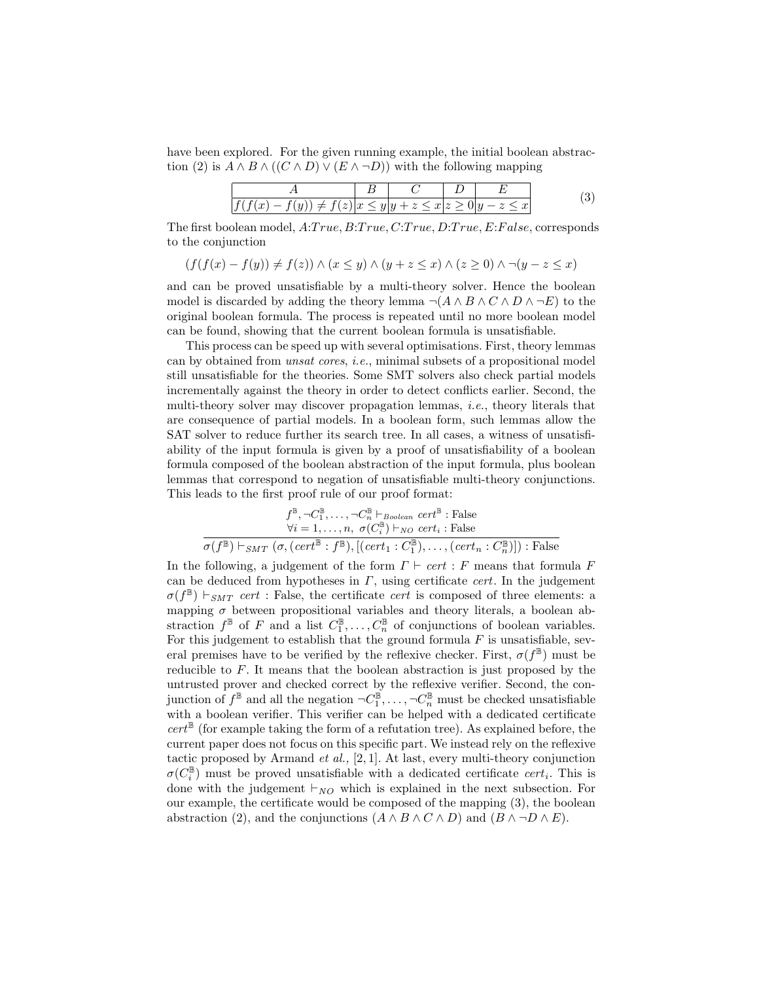have been explored. For the given running example, the initial boolean abstraction (2) is  $A \wedge B \wedge ((C \wedge D) \vee (E \wedge \neg D))$  with the following mapping

$$
\frac{A}{f(f(x) - f(y)) \neq f(z)} \frac{B}{x \leq y} \frac{C}{y + z \leq x} \frac{D}{z \geq 0} \frac{E}{y - z \leq x}
$$
(3)

The first boolean model,  $A: True, B: True, C: True, D: True, E: False, corresponds$ to the conjunction

$$
(f(f(x) - f(y)) \neq f(z)) \land (x \leq y) \land (y + z \leq x) \land (z \geq 0) \land \neg(y - z \leq x)
$$

and can be proved unsatisfiable by a multi-theory solver. Hence the boolean model is discarded by adding the theory lemma  $\neg(A \land B \land C \land D \land \neg E)$  to the original boolean formula. The process is repeated until no more boolean model can be found, showing that the current boolean formula is unsatisfiable.

This process can be speed up with several optimisations. First, theory lemmas can by obtained from unsat cores, i.e., minimal subsets of a propositional model still unsatisfiable for the theories. Some SMT solvers also check partial models incrementally against the theory in order to detect conflicts earlier. Second, the multi-theory solver may discover propagation lemmas, i.e., theory literals that are consequence of partial models. In a boolean form, such lemmas allow the SAT solver to reduce further its search tree. In all cases, a witness of unsatisfiability of the input formula is given by a proof of unsatisfiability of a boolean formula composed of the boolean abstraction of the input formula, plus boolean lemmas that correspond to negation of unsatisfiable multi-theory conjunctions. This leads to the first proof rule of our proof format:

$$
f^{\mathbb{B}}, \neg C_1^{\mathbb{B}}, \dots, \neg C_n^{\mathbb{B}} \vdash_{Boolean} cert^{\mathbb{B}} : \text{False}
$$
  
\n
$$
\forall i = 1, \dots, n, \ \sigma(C_i^{\mathbb{B}}) \vdash_{NO} cert_i : \text{False}
$$
  
\n
$$
\sigma(f^{\mathbb{B}}) \vdash_{SMT} (\sigma, (cert^{\mathbb{B}} : f^{\mathbb{B}}), [(cert_1 : C_1^{\mathbb{B}}), \dots, (cert_n : C_n^{\mathbb{B}})]) : \text{False}
$$

In the following, a judgement of the form  $\Gamma \vdash cert : F$  means that formula F can be deduced from hypotheses in  $\Gamma$ , using certificate *cert*. In the judgement  $\sigma(f^{\mathbb{B}}) \vdash_{SMT} cert$ : False, the certificate *cert* is composed of three elements: a mapping  $\sigma$  between propositional variables and theory literals, a boolean abstraction  $f^{\mathbb{B}}$  of F and a list  $C_1^{\mathbb{B}}, \ldots, C_n^{\mathbb{B}}$  of conjunctions of boolean variables. For this judgement to establish that the ground formula  $F$  is unsatisfiable, several premises have to be verified by the reflexive checker. First,  $\sigma(f^{\mathbb{B}})$  must be reducible to F. It means that the boolean abstraction is just proposed by the untrusted prover and checked correct by the reflexive verifier. Second, the conjunction of  $f^{\mathbb{B}}$  and all the negation  $\neg C_1^{\mathbb{B}}, \dots, \neg C_n^{\mathbb{B}}$  must be checked unsatisfiable with a boolean verifier. This verifier can be helped with a dedicated certificate  $cert^{\mathbb{B}}$  (for example taking the form of a refutation tree). As explained before, the current paper does not focus on this specific part. We instead rely on the reflexive tactic proposed by Armand  $et$  al., [2, 1]. At last, every multi-theory conjunction  $\sigma(C_i^{\mathbb{B}})$  must be proved unsatisfiable with a dedicated certificate  $cert_i$ . This is done with the judgement  $\vdash_{NO}$  which is explained in the next subsection. For our example, the certificate would be composed of the mapping (3), the boolean abstraction (2), and the conjunctions  $(A \wedge B \wedge C \wedge D)$  and  $(B \wedge \neg D \wedge E)$ .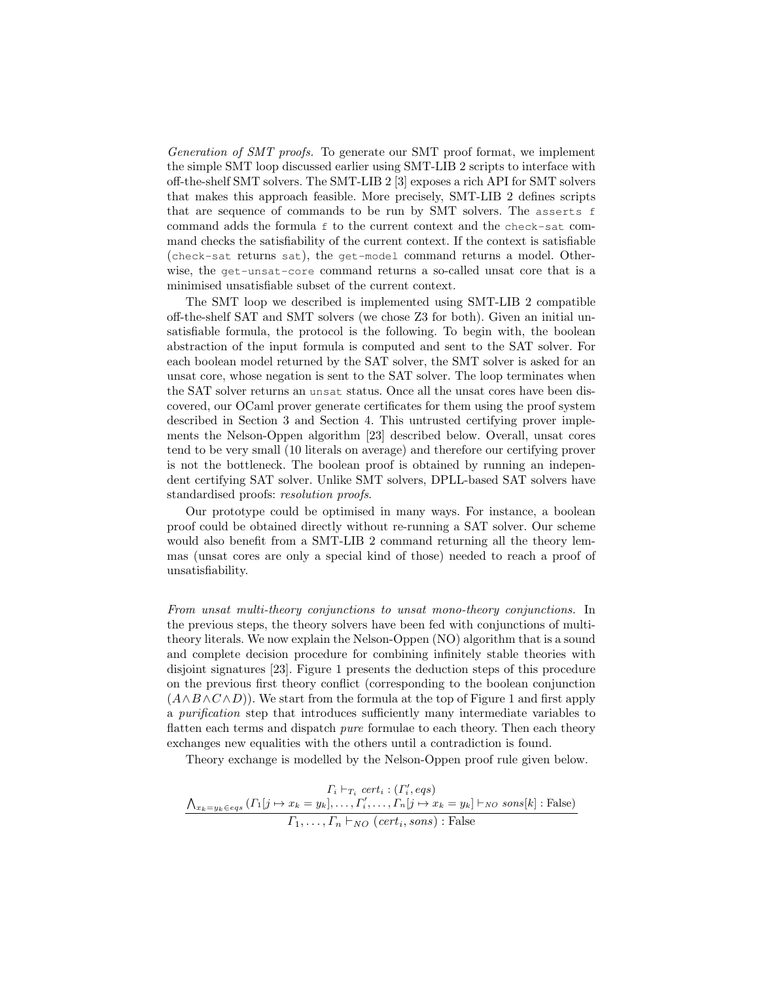Generation of SMT proofs. To generate our SMT proof format, we implement the simple SMT loop discussed earlier using SMT-LIB 2 scripts to interface with off-the-shelf SMT solvers. The SMT-LIB 2 [3] exposes a rich API for SMT solvers that makes this approach feasible. More precisely, SMT-LIB 2 defines scripts that are sequence of commands to be run by SMT solvers. The asserts f command adds the formula f to the current context and the check-sat command checks the satisfiability of the current context. If the context is satisfiable (check-sat returns sat), the get-model command returns a model. Otherwise, the get-unsat-core command returns a so-called unsat core that is a minimised unsatisfiable subset of the current context.

The SMT loop we described is implemented using SMT-LIB 2 compatible off-the-shelf SAT and SMT solvers (we chose Z3 for both). Given an initial unsatisfiable formula, the protocol is the following. To begin with, the boolean abstraction of the input formula is computed and sent to the SAT solver. For each boolean model returned by the SAT solver, the SMT solver is asked for an unsat core, whose negation is sent to the SAT solver. The loop terminates when the SAT solver returns an unsat status. Once all the unsat cores have been discovered, our OCaml prover generate certificates for them using the proof system described in Section 3 and Section 4. This untrusted certifying prover implements the Nelson-Oppen algorithm [23] described below. Overall, unsat cores tend to be very small (10 literals on average) and therefore our certifying prover is not the bottleneck. The boolean proof is obtained by running an independent certifying SAT solver. Unlike SMT solvers, DPLL-based SAT solvers have standardised proofs: resolution proofs.

Our prototype could be optimised in many ways. For instance, a boolean proof could be obtained directly without re-running a SAT solver. Our scheme would also benefit from a SMT-LIB 2 command returning all the theory lemmas (unsat cores are only a special kind of those) needed to reach a proof of unsatisfiability.

From unsat multi-theory conjunctions to unsat mono-theory conjunctions. In the previous steps, the theory solvers have been fed with conjunctions of multitheory literals. We now explain the Nelson-Oppen (NO) algorithm that is a sound and complete decision procedure for combining infinitely stable theories with disjoint signatures [23]. Figure 1 presents the deduction steps of this procedure on the previous first theory conflict (corresponding to the boolean conjunction  $(A \wedge B \wedge C \wedge D)$ . We start from the formula at the top of Figure 1 and first apply a purification step that introduces sufficiently many intermediate variables to flatten each terms and dispatch *pure* formulae to each theory. Then each theory exchanges new equalities with the others until a contradiction is found.

Theory exchange is modelled by the Nelson-Oppen proof rule given below.

$$
\frac{\Gamma_i \vdash_{T_i} cert_i : ( \Gamma'_i, eqs)}{\Delta_{x_k = y_k \in eqs} ( \Gamma_1[j \mapsto x_k = y_k], \dots, \Gamma'_i, \dots, \Gamma_n[j \mapsto x_k = y_k] \vdash_{NO} sons[k] : False)}
$$
\n
$$
\frac{\Gamma_1 \vdash_{T_i} cert_i : ( \Gamma'_i, eqs)}{\Gamma_1, \dots, \Gamma_n \vdash_{NO} (cert_i, sons) : False}
$$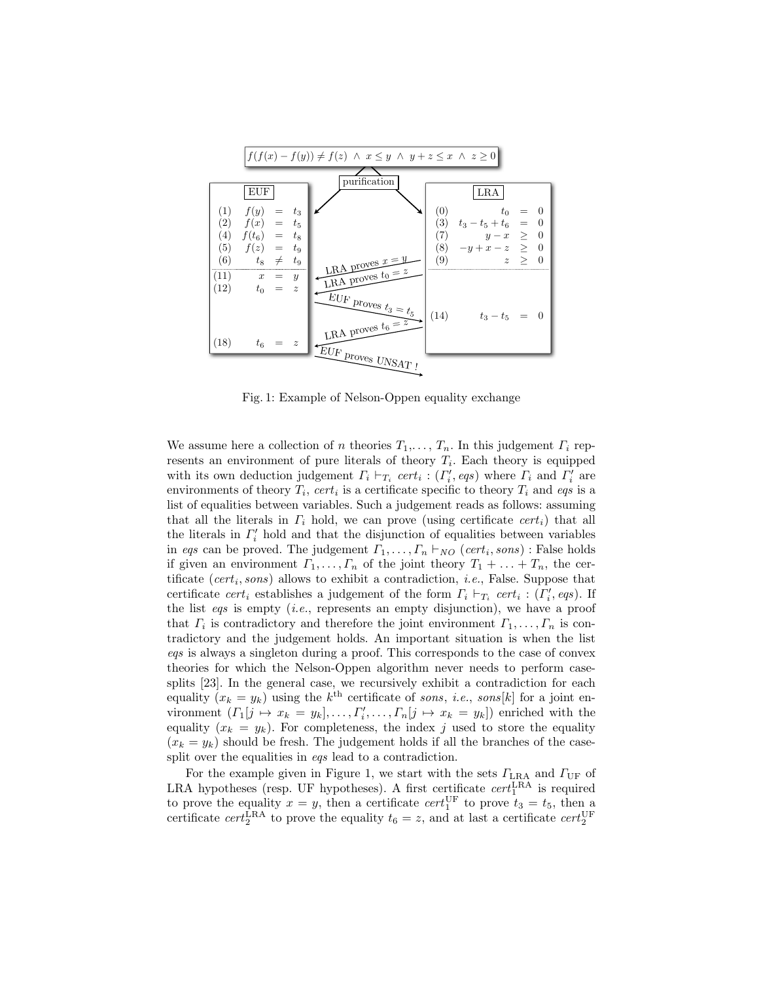

Fig. 1: Example of Nelson-Oppen equality exchange

We assume here a collection of n theories  $T_1, \ldots, T_n$ . In this judgement  $\Gamma_i$  represents an environment of pure literals of theory  $T_i$ . Each theory is equipped with its own deduction judgement  $\Gamma_i \vdash_{T_i} cert_i : (\Gamma'_i, eqs)$  where  $\Gamma_i$  and  $\Gamma'_i$  are environments of theory  $T_i$ , cert<sub>i</sub> is a certificate specific to theory  $T_i$  and eqs is a list of equalities between variables. Such a judgement reads as follows: assuming that all the literals in  $\Gamma_i$  hold, we can prove (using certificate cert<sub>i</sub>) that all the literals in  $\Gamma_i'$  hold and that the disjunction of equalities between variables in eqs can be proved. The judgement  $\Gamma_1, \ldots, \Gamma_n \vdash_{NO} (cert_i, sons)$ : False holds if given an environment  $\Gamma_1, \ldots, \Gamma_n$  of the joint theory  $T_1 + \ldots + T_n$ , the certificate  $(cert_i, sons)$  allows to exhibit a contradiction, *i.e.*, False. Suppose that certificate  $cert_i$  establishes a judgement of the form  $\Gamma_i \vdash_{T_i} cert_i : (\Gamma'_i, \text{eqs})$ . If the list eqs is empty (*i.e.*, represents an empty disjunction), we have a proof that  $\Gamma_i$  is contradictory and therefore the joint environment  $\Gamma_1, \ldots, \Gamma_n$  is contradictory and the judgement holds. An important situation is when the list eqs is always a singleton during a proof. This corresponds to the case of convex theories for which the Nelson-Oppen algorithm never needs to perform casesplits [23]. In the general case, we recursively exhibit a contradiction for each equality  $(x_k = y_k)$  using the  $k^{\text{th}}$  certificate of sons, *i.e.*, sons[k] for a joint environment  $(\Gamma_1[j \mapsto x_k = y_k], \ldots, \Gamma'_i, \ldots, \Gamma_n[j \mapsto x_k = y_k])$  enriched with the equality  $(x_k = y_k)$ . For completeness, the index j used to store the equality  $(x_k = y_k)$  should be fresh. The judgement holds if all the branches of the casesplit over the equalities in eqs lead to a contradiction.

For the example given in Figure 1, we start with the sets  $\Gamma_{\text{LRA}}$  and  $\Gamma_{\text{UF}}$  of LRA hypotheses (resp. UF hypotheses). A first certificate  $cert_1^{\text{LRA}}$  is required to prove the equality  $x = y$ , then a certificate  $cert_1^{\text{UF}}$  to prove  $t_3 = t_5$ , then a certificate  $cert_2^{\text{LRA}}$  to prove the equality  $t_6 = z$ , and at last a certificate  $cert_2^{\text{UF}}$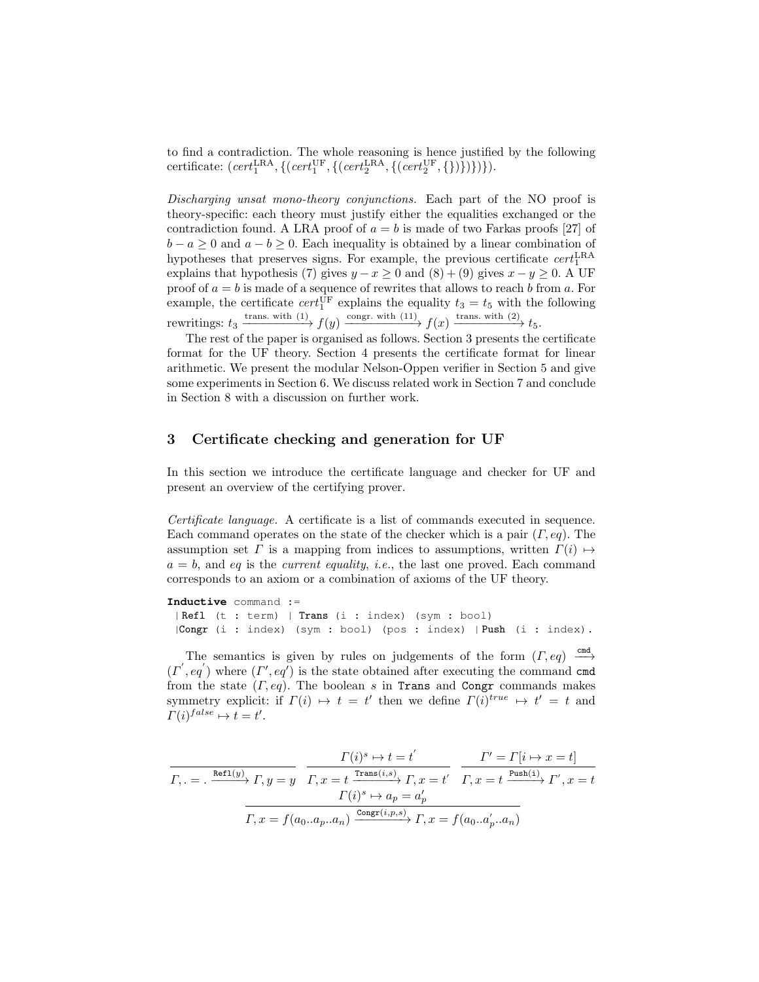to find a contradiction. The whole reasoning is hence justified by the following certificate:  $(\text{cert}_1^{\text{LRA}}, \{(\text{cert}_1^{\text{UF}}, \{(\text{cert}_2^{\text{LRA}}, \{(\text{cert}_2^{\text{UF}}, \{\})\})\})\}).$ 

Discharging unsat mono-theory conjunctions. Each part of the NO proof is theory-specific: each theory must justify either the equalities exchanged or the contradiction found. A LRA proof of  $a = b$  is made of two Farkas proofs [27] of  $b - a \geq 0$  and  $a - b \geq 0$ . Each inequality is obtained by a linear combination of hypotheses that preserves signs. For example, the previous certificate  $cert_1^{\text{LRA}}$ explains that hypothesis (7) gives  $y - x \ge 0$  and  $(8) + (9)$  gives  $x - y \ge 0$ . A UF proof of  $a = b$  is made of a sequence of rewrites that allows to reach b from a. For example, the certificate  $cert_1^{\text{UF}}$  explains the equality  $t_3 = t_5$  with the following rewritings:  $t_3 \xrightarrow{\text{trans. with (1)}} f(y) \xrightarrow{\text{congr. with (11)}} f(x) \xrightarrow{\text{trans. with (2)}} t_5.$ 

The rest of the paper is organised as follows. Section 3 presents the certificate format for the UF theory. Section 4 presents the certificate format for linear arithmetic. We present the modular Nelson-Oppen verifier in Section 5 and give some experiments in Section 6. We discuss related work in Section 7 and conclude in Section 8 with a discussion on further work.

#### 3 Certificate checking and generation for UF

In this section we introduce the certificate language and checker for UF and present an overview of the certifying prover.

Certificate language. A certificate is a list of commands executed in sequence. Each command operates on the state of the checker which is a pair  $(\Gamma, eq)$ . The assumption set  $\Gamma$  is a mapping from indices to assumptions, written  $\Gamma(i) \mapsto$  $a = b$ , and eq is the *current equality*, *i.e.*, the last one proved. Each command corresponds to an axiom or a combination of axioms of the UF theory.

**Inductive** command := | Refl (t : term) | Trans (i : index) (sym : bool) |Congr (i : index) (sym : bool) (pos : index) | Push (i : index).

The semantics is given by rules on judgements of the form  $(\Gamma, eq) \xrightarrow{\text{cmd}}$  $(\Gamma', eq')$  where  $(\Gamma', eq')$  is the state obtained after executing the command cmd from the state  $(\Gamma, eq)$ . The boolean s in Trans and Congr commands makes symmetry explicit: if  $\Gamma(i) \mapsto t = t'$  then we define  $\Gamma(i)^{true} \mapsto t' = t$  and  $\Gamma(i)^{false} \mapsto t = t'.$ 

$$
\overbrace{\Gamma, . = . \xrightarrow{\text{Ref1}(y)} \Gamma, y = y}^{\text{Ref1}(y)} \xrightarrow{\Gamma, x = t}^{\text{Trans}(i, s)} \frac{\Gamma' = \Gamma[i \mapsto x = t]}{\Gamma, x = t}^{\text{Trans}(i, s)} \overbrace{\Gamma, x = t}^{\text{Trans}(i)} \xrightarrow{\Gamma'(i)^s \mapsto a_p = a'_p}^{\text{PUS1}(i)} \Gamma', x = t}
$$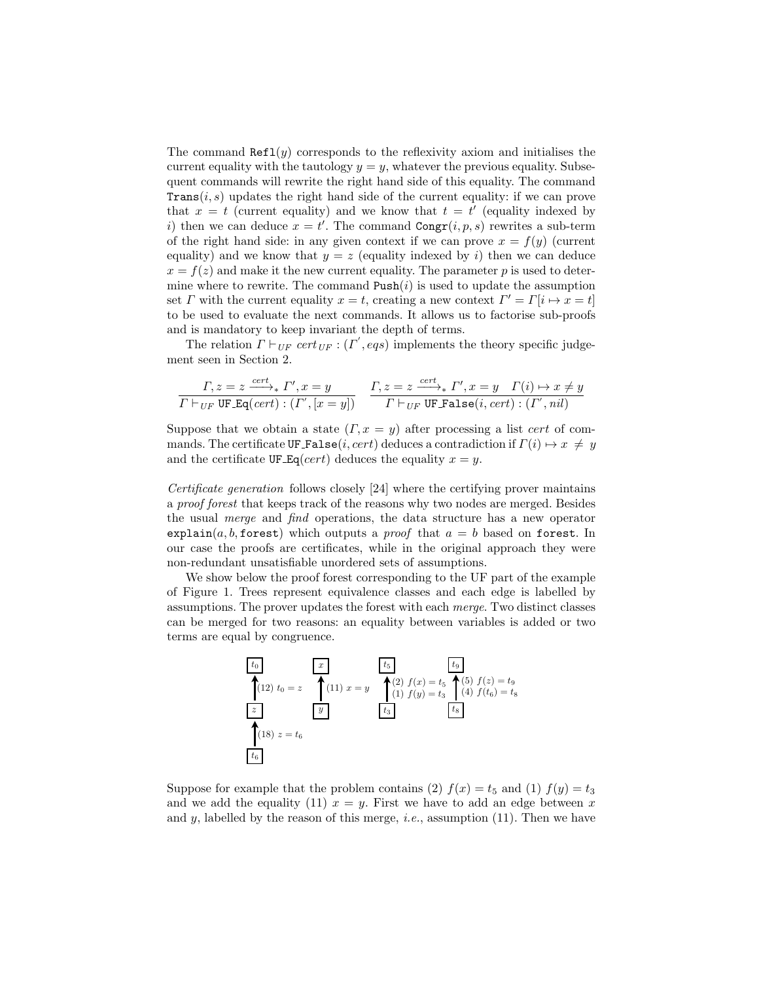The command  $\text{Ref1}(y)$  corresponds to the reflexivity axiom and initialises the current equality with the tautology  $y = y$ , whatever the previous equality. Subsequent commands will rewrite the right hand side of this equality. The command **Trans** $(i, s)$  updates the right hand side of the current equality: if we can prove that  $x = t$  (current equality) and we know that  $t = t'$  (equality indexed by i) then we can deduce  $x = t'$ . The command  $\text{Congr}(i, p, s)$  rewrites a sub-term of the right hand side: in any given context if we can prove  $x = f(y)$  (current equality) and we know that  $y = z$  (equality indexed by i) then we can deduce  $x = f(z)$  and make it the new current equality. The parameter p is used to determine where to rewrite. The command  $\text{Push}(i)$  is used to update the assumption set  $\Gamma$  with the current equality  $x = t$ , creating a new context  $\Gamma' = \Gamma[i \mapsto x = t]$ to be used to evaluate the next commands. It allows us to factorise sub-proofs and is mandatory to keep invariant the depth of terms.

The relation  $\Gamma \vdash_{UF} cert_{UF} : (\Gamma',eqs)$  implements the theory specific judgement seen in Section 2.

$$
\frac{\Gamma, z = z \xrightarrow{cert}_{*} \Gamma', x = y}{\Gamma \vdash_{UF} \text{UF}.\text{Eq}(cert) : (\Gamma', [x = y])} \quad \frac{\Gamma, z = z \xrightarrow{cert}_{*} \Gamma', x = y \quad \Gamma(i) \mapsto x \neq y}{\Gamma \vdash_{UF} \text{UF}.\text{False}(i, cert) : (\Gamma', nil)}
$$

Suppose that we obtain a state  $(T, x = y)$  after processing a list cert of commands. The certificate UF False(i, cert) deduces a contradiction if  $\Gamma(i) \mapsto x \neq y$ and the certificate UF  $Eq(cert)$  deduces the equality  $x = y$ .

Certificate generation follows closely [24] where the certifying prover maintains a proof forest that keeps track of the reasons why two nodes are merged. Besides the usual merge and find operations, the data structure has a new operator explain(a, b, forest) which outputs a *proof* that  $a = b$  based on forest. In our case the proofs are certificates, while in the original approach they were non-redundant unsatisfiable unordered sets of assumptions.

We show below the proof forest corresponding to the UF part of the example of Figure 1. Trees represent equivalence classes and each edge is labelled by assumptions. The prover updates the forest with each merge. Two distinct classes can be merged for two reasons: an equality between variables is added or two terms are equal by congruence.

$$
\begin{array}{|l|l|}\n\hline\n t_0 \\
\hline\n (12) \ t_0 = z & \begin{array}{c} \hline x \\
\hline\n (11) \ x = y & \begin{array}{c} \hline t_5 \\
\hline\n (2) \ f(x) = t_5 & \begin{array}{c} \hline t_9 \\
\hline\n (5) \ f(z) = t_9 \\
\hline\n (4) \ f(t_6) = t_8\n\end{array}\n\end{array}\n\end{array}\n\end{array}
$$
\n
$$
\begin{array}{|l|l|}\n\hline\n x = y & \begin{array}{c} \hline t_9 \\
\hline\n (1) \ f(y) = t_3 & \begin{array}{c} \hline t_9 \\
\hline\n (4) \ f(t_6) = t_8\n\end{array}\n\end{array}
$$
\n
$$
\begin{array}{|l|l|}\n\hline\n t_8 & \begin{array}{c} \hline t_9 \\
\hline\n\hline\n t_8\n\end{array}\n\end{array}
$$

Suppose for example that the problem contains (2)  $f(x) = t_5$  and (1)  $f(y) = t_3$ and we add the equality (11)  $x = y$ . First we have to add an edge between x and y, labelled by the reason of this merge, *i.e.*, assumption  $(11)$ . Then we have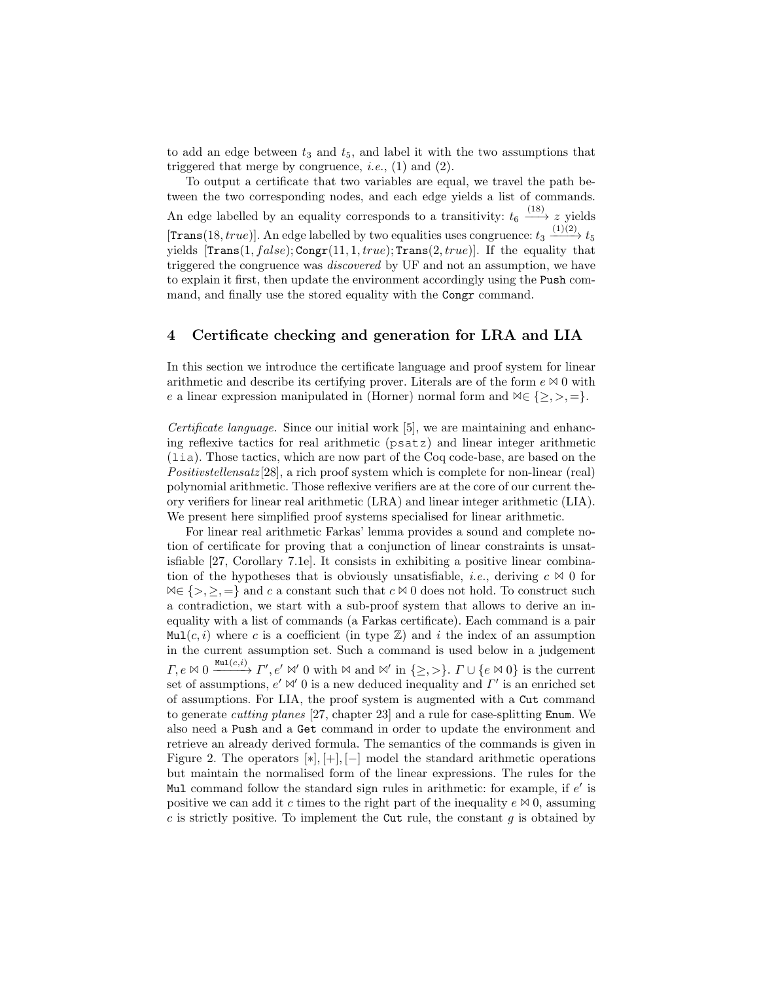to add an edge between  $t_3$  and  $t_5$ , and label it with the two assumptions that triggered that merge by congruence, *i.e.*,  $(1)$  and  $(2)$ .

To output a certificate that two variables are equal, we travel the path between the two corresponding nodes, and each edge yields a list of commands. An edge labelled by an equality corresponds to a transitivity:  $t_6 \xrightarrow{(18)} z$  yields [Trans(18, true)]. An edge labelled by two equalities uses congruence:  $t_3 \xrightarrow{(1)(2)} t_5$ yields  $[\text{Trans}(1, false); \text{Congr}(11, 1, true); \text{Trans}(2, true)].$  If the equality that triggered the congruence was discovered by UF and not an assumption, we have to explain it first, then update the environment accordingly using the Push command, and finally use the stored equality with the Congr command.

#### 4 Certificate checking and generation for LRA and LIA

In this section we introduce the certificate language and proof system for linear arithmetic and describe its certifying prover. Literals are of the form  $e \bowtie 0$  with e a linear expression manipulated in (Horner) normal form and  $\forall \in \{\geq, >, =\}.$ 

Certificate language. Since our initial work [5], we are maintaining and enhancing reflexive tactics for real arithmetic (psatz) and linear integer arithmetic (lia). Those tactics, which are now part of the Coq code-base, are based on the Positivstellensatz [28], a rich proof system which is complete for non-linear (real) polynomial arithmetic. Those reflexive verifiers are at the core of our current theory verifiers for linear real arithmetic (LRA) and linear integer arithmetic (LIA). We present here simplified proof systems specialised for linear arithmetic.

For linear real arithmetic Farkas' lemma provides a sound and complete notion of certificate for proving that a conjunction of linear constraints is unsatisfiable [27, Corollary 7.1e]. It consists in exhibiting a positive linear combination of the hypotheses that is obviously unsatisfiable, *i.e.*, deriving  $c \Join 0$  for  $\mathbb{A} \in \{>, \geq, =\}$  and c a constant such that  $c \mathbb{A}$  0 does not hold. To construct such a contradiction, we start with a sub-proof system that allows to derive an inequality with a list of commands (a Farkas certificate). Each command is a pair  $Mul(c, i)$  where c is a coefficient (in type  $\mathbb{Z}$ ) and i the index of an assumption in the current assumption set. Such a command is used below in a judgement  $\Gamma, e \bowtie 0 \xrightarrow{\text{Mul}(c,i)} \Gamma', e' \bowtie' 0 \text{ with } \bowtie \text{ and } \bowtie' \text{ in } \{\geq, >\}.$   $\Gamma \cup \{e \bowtie 0\}$  is the current set of assumptions,  $e' \bowtie' 0$  is a new deduced inequality and  $\Gamma'$  is an enriched set of assumptions. For LIA, the proof system is augmented with a Cut command to generate cutting planes [27, chapter 23] and a rule for case-splitting Enum. We also need a Push and a Get command in order to update the environment and retrieve an already derived formula. The semantics of the commands is given in Figure 2. The operators  $[*], [+], [-]$  model the standard arithmetic operations but maintain the normalised form of the linear expressions. The rules for the Mul command follow the standard sign rules in arithmetic: for example, if  $e'$  is positive we can add it c times to the right part of the inequality  $e \bowtie 0$ , assuming  $c$  is strictly positive. To implement the Cut rule, the constant  $g$  is obtained by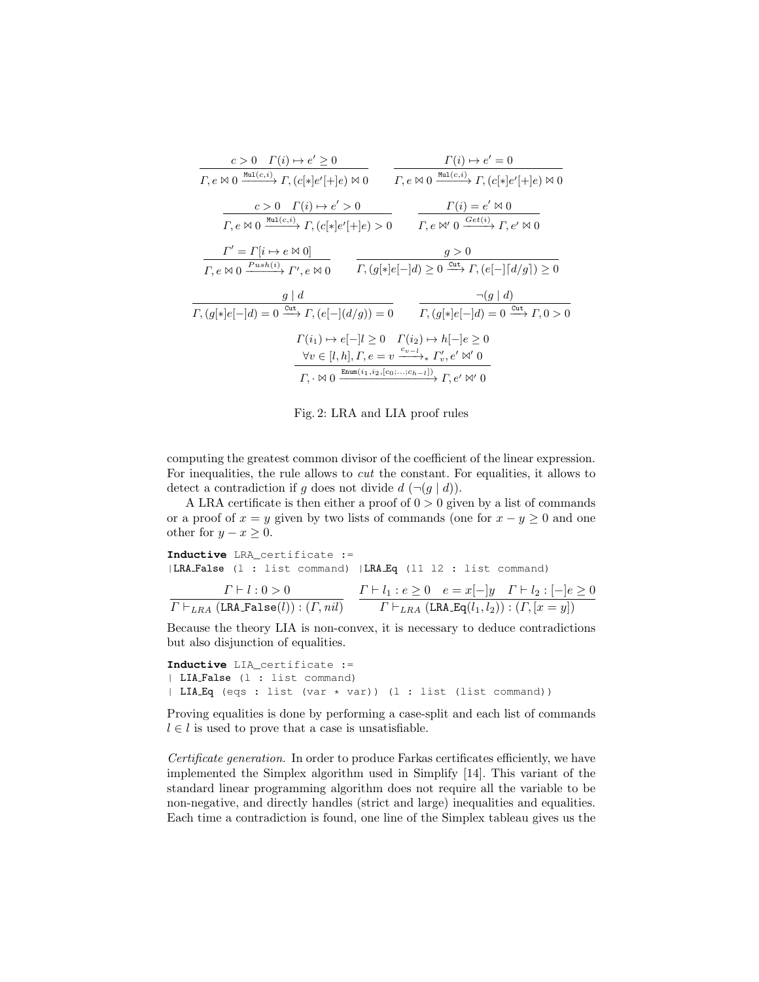| $c > 0$ $\Gamma(i) \mapsto e' \geq 0$                                                                                                                   | $\Gamma(i) \mapsto e' = 0$                                                                                                                                                                                                                                                                     |
|---------------------------------------------------------------------------------------------------------------------------------------------------------|------------------------------------------------------------------------------------------------------------------------------------------------------------------------------------------------------------------------------------------------------------------------------------------------|
| $\Gamma, e \bowtie 0 \xrightarrow{\text{Mul}(c,i)} \Gamma, (c[*]e'[+]e) \bowtie 0$                                                                      | $\Gamma, e \bowtie 0 \xrightarrow{\text{Mul}(c,i)} \Gamma, (c[*]e'[+]e) \bowtie 0$                                                                                                                                                                                                             |
| $c>0$ $\Gamma(i)\mapsto e'>0$<br>$\Gamma, e \bowtie 0 \xrightarrow{\text{Mul}(c,i)} \Gamma, (c[*]e'[+]e) > 0$                                           | $\Gamma(i) = e' \bowtie 0$<br>$\Gamma, e \bowtie' 0 \xrightarrow{Get(i)} \Gamma, e' \bowtie 0$                                                                                                                                                                                                 |
| $\Gamma' = \Gamma[i \mapsto e \bowtie 0]$                                                                                                               | q>0                                                                                                                                                                                                                                                                                            |
| $\Gamma, e \bowtie 0 \xrightarrow{Push(i)} \Gamma', e \bowtie 0$                                                                                        | $\Gamma$ , $(g[*]e[-]d) \geq 0 \xrightarrow{\text{Cut}} \Gamma$ , $(e[-] [d/g]) \geq 0$                                                                                                                                                                                                        |
| $q \mid d$                                                                                                                                              | $\neg(g \mid d)$                                                                                                                                                                                                                                                                               |
| $\Gamma$ , $(g[*]e[-]d) = 0 \xrightarrow{\text{Cut}} \Gamma$ , $(e[-](d/g)) = 0$ $\Gamma$ , $(g[*]e[-]d) = 0 \xrightarrow{\text{Cut}} \Gamma$ , $0 > 0$ |                                                                                                                                                                                                                                                                                                |
|                                                                                                                                                         | $\Gamma(i_1) \mapsto e[-]l \geq 0 \quad \Gamma(i_2) \mapsto h[-]e \geq 0$<br>$\forall v \in [l, h], \Gamma, e = v \xrightarrow{c_{v-l}} \Gamma'_v, e' \bowtie' 0$<br>$\Gamma_{\cdot} \cdot \bowtie 0 \xrightarrow{\text{Enum}(i_1, i_2, [c_0; \ldots; c_{h-l}])} \Gamma_{\cdot} e' \bowtie' 0$ |

Fig. 2: LRA and LIA proof rules

computing the greatest common divisor of the coefficient of the linear expression. For inequalities, the rule allows to cut the constant. For equalities, it allows to detect a contradiction if g does not divide  $d (\neg (g \mid d))$ .

A LRA certificate is then either a proof of  $0 > 0$  given by a list of commands or a proof of  $x = y$  given by two lists of commands (one for  $x - y \ge 0$  and one other for  $y - x \geq 0$ .

**Inductive** LRA\_certificate := |LRA False (l : list command) |LRA Eq (l1 l2 : list command)  $\Gamma \vdash l : 0 > 0$  $\Gamma\vdash_{LRA}(\mathtt{LRA\_False}(l)) : (\Gamma,\mathit{nil})$  $\Gamma \vdash l_1 : e \geq 0 \quad e = x[-]y \quad \Gamma \vdash l_2 : [-]e \geq 0$  $\Gamma \vdash_{LRA} (\texttt{LRA\_Eq}(l_1, l_2)) : (\Gamma, [x = y])$ 

Because the theory LIA is non-convex, it is necessary to deduce contradictions but also disjunction of equalities.

```
Inductive LIA_certificate :=
| LIA False (l : list command)
| LIA Eq (eqs : list (var * var)) (l : list (list command))
```
Proving equalities is done by performing a case-split and each list of commands  $l \in l$  is used to prove that a case is unsatisfiable.

Certificate generation. In order to produce Farkas certificates efficiently, we have implemented the Simplex algorithm used in Simplify [14]. This variant of the standard linear programming algorithm does not require all the variable to be non-negative, and directly handles (strict and large) inequalities and equalities. Each time a contradiction is found, one line of the Simplex tableau gives us the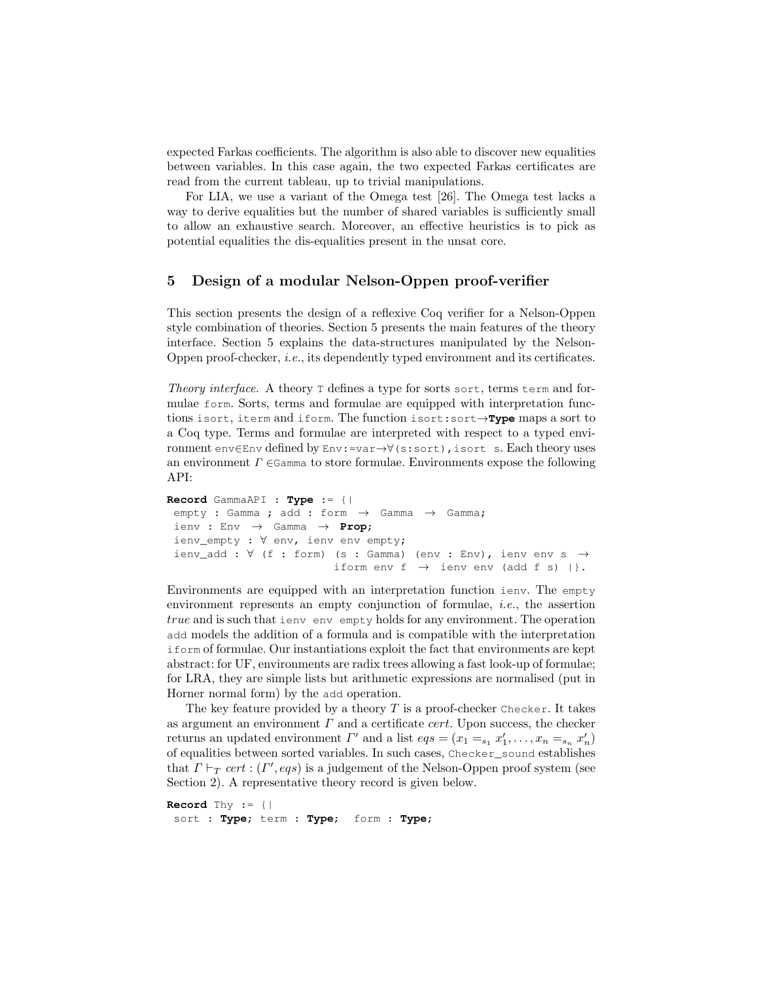expected Farkas coefficients. The algorithm is also able to discover new equalities between variables. In this case again, the two expected Farkas certificates are read from the current tableau, up to trivial manipulations.

For LIA, we use a variant of the Omega test [26]. The Omega test lacks a way to derive equalities but the number of shared variables is sufficiently small to allow an exhaustive search. Moreover, an effective heuristics is to pick as potential equalities the dis-equalities present in the unsat core.

#### 5 Design of a modular Nelson-Oppen proof-verifier

This section presents the design of a reflexive Coq verifier for a Nelson-Oppen style combination of theories. Section 5 presents the main features of the theory interface. Section 5 explains the data-structures manipulated by the Nelson-Oppen proof-checker, i.e., its dependently typed environment and its certificates.

Theory interface. A theory T defines a type for sorts sort, terms term and formulae form. Sorts, terms and formulae are equipped with interpretation functions isort, iterm and iform. The function isort:sort→**Type** maps a sort to a Coq type. Terms and formulae are interpreted with respect to a typed environment env∈Env defined by Env:=var→∀(s:sort),isort s. Each theory uses an environment  $\Gamma \in \mathsf{Gamma}$  to store formulae. Environments expose the following API:

```
Record GammaAPI : Type := {|
empty : Gamma ; add : form \rightarrow Gamma \rightarrow Gamma;
 ienv : Env → Gamma → Prop;
 ienv_empty : ∀ env, ienv env empty;
 ienv_add : \forall (f : form) (s : Gamma) (env : Env), ienv env s \rightarrowiform env f \rightarrow ienv env (add f s) |}.
```
Environments are equipped with an interpretation function ienv. The empty environment represents an empty conjunction of formulae, i.e., the assertion true and is such that ienv env empty holds for any environment. The operation add models the addition of a formula and is compatible with the interpretation iform of formulae. Our instantiations exploit the fact that environments are kept abstract: for UF, environments are radix trees allowing a fast look-up of formulae; for LRA, they are simple lists but arithmetic expressions are normalised (put in Horner normal form) by the add operation.

The key feature provided by a theory  $T$  is a proof-checker Checker. It takes as argument an environment  $\Gamma$  and a certificate cert. Upon success, the checker returns an updated environment  $\Gamma'$  and a list  $eqs = (x_1 =_{s_1} x'_1, \ldots, x_n =_{s_n} x'_n)$ of equalities between sorted variables. In such cases, Checker\_sound establishes that  $\Gamma \vdash_T cert : (\Gamma',eqs)$  is a judgement of the Nelson-Oppen proof system (see Section 2). A representative theory record is given below.

```
Record Thy := {|
sort : Type; term : Type; form : Type;
```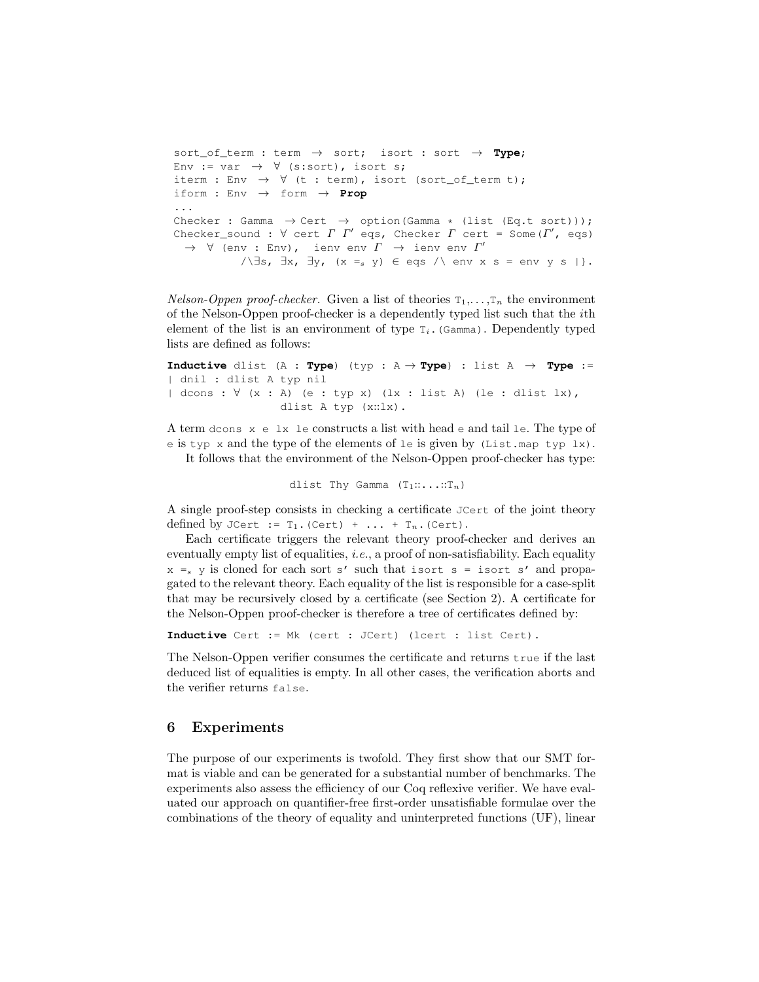```
sort_of_term : term → sort; isort : sort → Type;
Env := var \rightarrow \forall (s:sort), isort s;
iterm : Env \rightarrow \forall (t : term), isort (sort_of_term t);
iform : Env \rightarrow form \rightarrow Prop
...
Checker : Gamma \rightarrow Cert \rightarrow option(Gamma * (list (Eq.t sort)));
Checker_sound : \forall cert \Gamma \Gamma' eqs, Checker \Gamma cert = Some(\Gamma', eqs)
  \rightarrow \forall (env : Env), ienv env \varGamma \rightarrow ienv env \varGamma'\wedge \exists s, \exists x, \exists y, (x =_s y) \in \text{eqs} \wedge env x s = env y s |}.
```
*Nelson-Oppen proof-checker.* Given a list of theories  $T_1, \ldots, T_n$  the environment of the Nelson-Oppen proof-checker is a dependently typed list such that the ith element of the list is an environment of type  $T_i$ . (Gamma). Dependently typed lists are defined as follows:

**Inductive** dlist  $(A : Type)$  (typ :  $A \rightarrow Type$ ) : list  $A \rightarrow Type$ : | dnil : dlist A typ nil | dcons : ∀ (x : A) (e : typ x) (lx : list A) (le : dlist lx), dlist A typ (x::lx).

A term dcons x e lx le constructs a list with head e and tail le. The type of e is typ x and the type of the elements of le is given by (List.map typ lx).

It follows that the environment of the Nelson-Oppen proof-checker has type:

dlist Thy Gamma  $(T_1::...::T_n)$ 

A single proof-step consists in checking a certificate JCert of the joint theory defined by JCert :=  $T_1$ . (Cert) + ... +  $T_n$ . (Cert).

Each certificate triggers the relevant theory proof-checker and derives an eventually empty list of equalities, *i.e.*, a proof of non-satisfiability. Each equality  $x = s$  y is cloned for each sort s' such that isort s = isort s' and propagated to the relevant theory. Each equality of the list is responsible for a case-split that may be recursively closed by a certificate (see Section 2). A certificate for the Nelson-Oppen proof-checker is therefore a tree of certificates defined by:

**Inductive** Cert := Mk (cert : JCert) (lcert : list Cert).

The Nelson-Oppen verifier consumes the certificate and returns true if the last deduced list of equalities is empty. In all other cases, the verification aborts and the verifier returns false.

#### 6 Experiments

The purpose of our experiments is twofold. They first show that our SMT format is viable and can be generated for a substantial number of benchmarks. The experiments also assess the efficiency of our Coq reflexive verifier. We have evaluated our approach on quantifier-free first-order unsatisfiable formulae over the combinations of the theory of equality and uninterpreted functions (UF), linear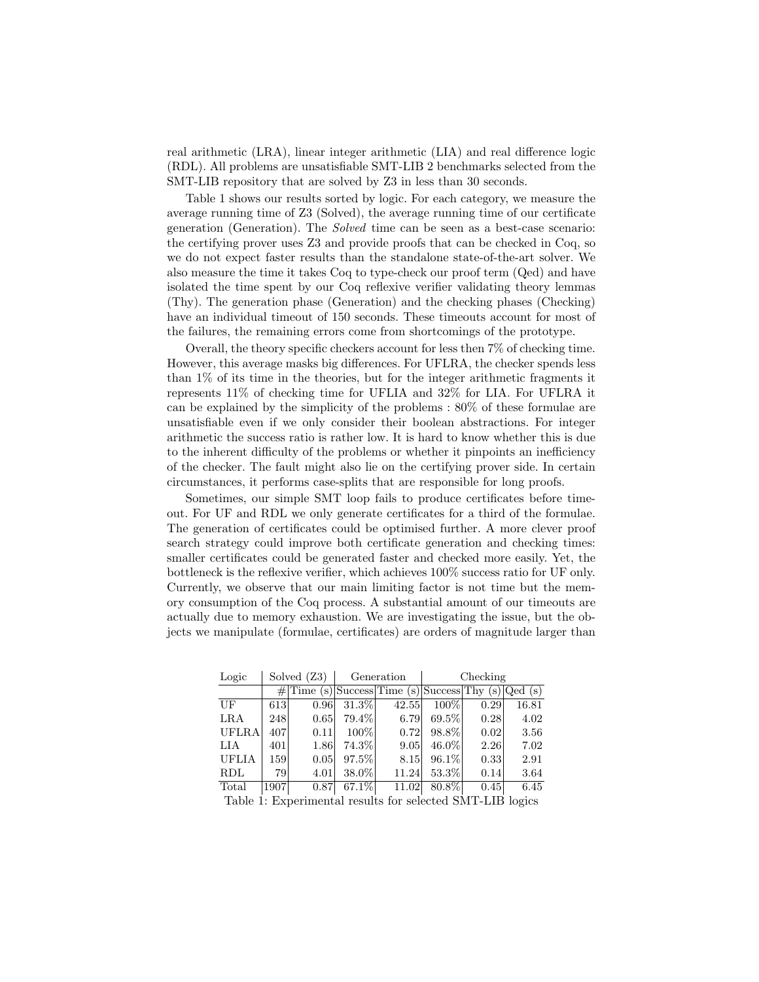real arithmetic (LRA), linear integer arithmetic (LIA) and real difference logic (RDL). All problems are unsatisfiable SMT-LIB 2 benchmarks selected from the SMT-LIB repository that are solved by Z3 in less than 30 seconds.

Table 1 shows our results sorted by logic. For each category, we measure the average running time of Z3 (Solved), the average running time of our certificate generation (Generation). The Solved time can be seen as a best-case scenario: the certifying prover uses Z3 and provide proofs that can be checked in Coq, so we do not expect faster results than the standalone state-of-the-art solver. We also measure the time it takes Coq to type-check our proof term (Qed) and have isolated the time spent by our Coq reflexive verifier validating theory lemmas (Thy). The generation phase (Generation) and the checking phases (Checking) have an individual timeout of 150 seconds. These timeouts account for most of the failures, the remaining errors come from shortcomings of the prototype.

Overall, the theory specific checkers account for less then 7% of checking time. However, this average masks big differences. For UFLRA, the checker spends less than 1% of its time in the theories, but for the integer arithmetic fragments it represents 11% of checking time for UFLIA and 32% for LIA. For UFLRA it can be explained by the simplicity of the problems : 80% of these formulae are unsatisfiable even if we only consider their boolean abstractions. For integer arithmetic the success ratio is rather low. It is hard to know whether this is due to the inherent difficulty of the problems or whether it pinpoints an inefficiency of the checker. The fault might also lie on the certifying prover side. In certain circumstances, it performs case-splits that are responsible for long proofs.

Sometimes, our simple SMT loop fails to produce certificates before timeout. For UF and RDL we only generate certificates for a third of the formulae. The generation of certificates could be optimised further. A more clever proof search strategy could improve both certificate generation and checking times: smaller certificates could be generated faster and checked more easily. Yet, the bottleneck is the reflexive verifier, which achieves 100% success ratio for UF only. Currently, we observe that our main limiting factor is not time but the memory consumption of the Coq process. A substantial amount of our timeouts are actually due to memory exhaustion. We are investigating the issue, but the objects we manipulate (formulae, certificates) are orders of magnitude larger than

| Logic        | Solved (Z3) |                                                        | Generation |       | Checking |      |       |
|--------------|-------------|--------------------------------------------------------|------------|-------|----------|------|-------|
|              |             | $\#$ Time (s) Success Time (s) Success Thy (s) Qed (s) |            |       |          |      |       |
| UF           | 613         | 0.96                                                   | 31.3%      | 42.55 | $100\%$  | 0.29 | 16.81 |
| LRA          | 248         | 0.65                                                   | 79.4%      | 6.79  | $69.5\%$ | 0.28 | 4.02  |
| <b>UFLRA</b> | 407         | 0.11                                                   | 100%       | 0.72  | 98.8%    | 0.02 | 3.56  |
| LIA          | 401         | 1.86                                                   | 74.3%      | 9.05  | $46.0\%$ | 2.26 | 7.02  |
| <b>UFLIA</b> | 159         | 0.05                                                   | 97.5%      | 8.15  | $96.1\%$ | 0.33 | 2.91  |
| <b>RDL</b>   | 79          | 4.01                                                   | 38.0%      | 11.24 | 53.3%    | 0.14 | 3.64  |
| Total        | 1907        | 0.87                                                   | 67.1%      | 11.02 | 80.8%    | 0.45 | 6.45  |

Table 1: Experimental results for selected SMT-LIB logics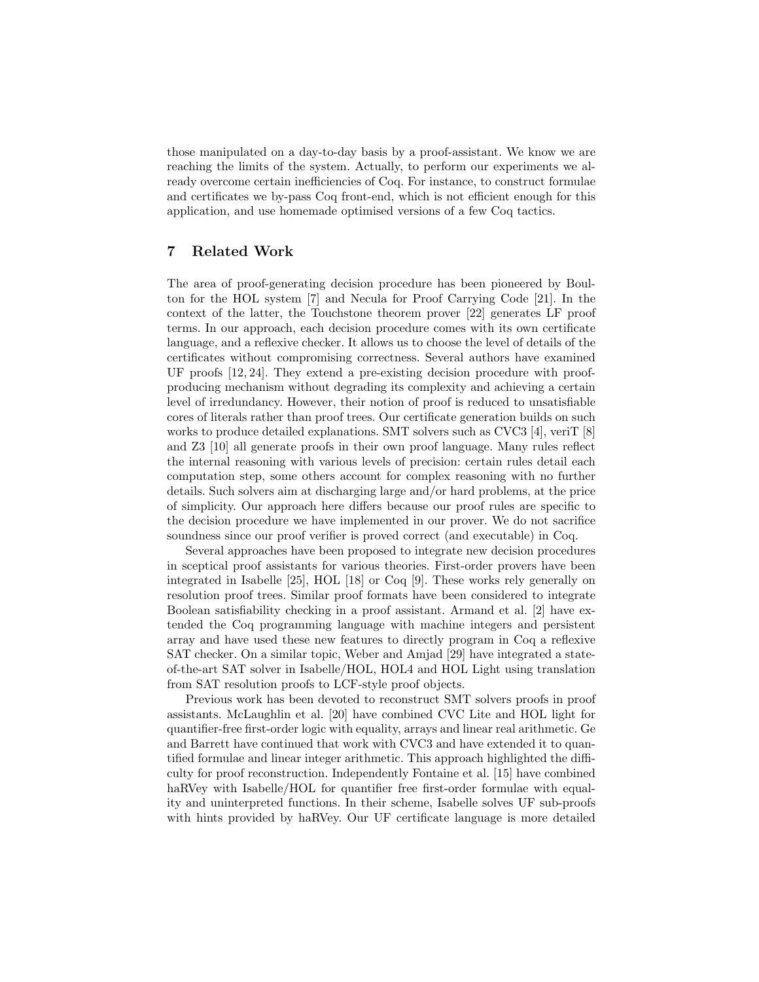those manipulated on a day-to-day basis by a proof-assistant. We know we are reaching the limits of the system. Actually, to perform our experiments we already overcome certain inefficiencies of Coq. For instance, to construct formulae and certificates we by-pass Coq front-end, which is not efficient enough for this application, and use homemade optimised versions of a few Coq tactics.

#### 7 Related Work

The area of proof-generating decision procedure has been pioneered by Boulton for the HOL system [7] and Necula for Proof Carrying Code [21]. In the context of the latter, the Touchstone theorem prover [22] generates LF proof terms. In our approach, each decision procedure comes with its own certificate language, and a reflexive checker. It allows us to choose the level of details of the certificates without compromising correctness. Several authors have examined UF proofs [12, 24]. They extend a pre-existing decision procedure with proofproducing mechanism without degrading its complexity and achieving a certain level of irredundancy. However, their notion of proof is reduced to unsatisfiable cores of literals rather than proof trees. Our certificate generation builds on such works to produce detailed explanations. SMT solvers such as CVC3 [4], veriT [8] and Z3 [10] all generate proofs in their own proof language. Many rules reflect the internal reasoning with various levels of precision: certain rules detail each computation step, some others account for complex reasoning with no further details. Such solvers aim at discharging large and/or hard problems, at the price of simplicity. Our approach here differs because our proof rules are specific to the decision procedure we have implemented in our prover. We do not sacrifice soundness since our proof verifier is proved correct (and executable) in Coq.

Several approaches have been proposed to integrate new decision procedures in sceptical proof assistants for various theories. First-order provers have been integrated in Isabelle [25], HOL [18] or Coq [9]. These works rely generally on resolution proof trees. Similar proof formats have been considered to integrate Boolean satisfiability checking in a proof assistant. Armand et al. [2] have extended the Coq programming language with machine integers and persistent array and have used these new features to directly program in Coq a reflexive SAT checker. On a similar topic, Weber and Amjad [29] have integrated a stateof-the-art SAT solver in Isabelle/HOL, HOL4 and HOL Light using translation from SAT resolution proofs to LCF-style proof objects.

Previous work has been devoted to reconstruct SMT solvers proofs in proof assistants. McLaughlin et al. [20] have combined CVC Lite and HOL light for quantifier-free first-order logic with equality, arrays and linear real arithmetic. Ge and Barrett have continued that work with CVC3 and have extended it to quantified formulae and linear integer arithmetic. This approach highlighted the difficulty for proof reconstruction. Independently Fontaine et al. [15] have combined haRVey with Isabelle/HOL for quantifier free first-order formulae with equality and uninterpreted functions. In their scheme, Isabelle solves UF sub-proofs with hints provided by haRVey. Our UF certificate language is more detailed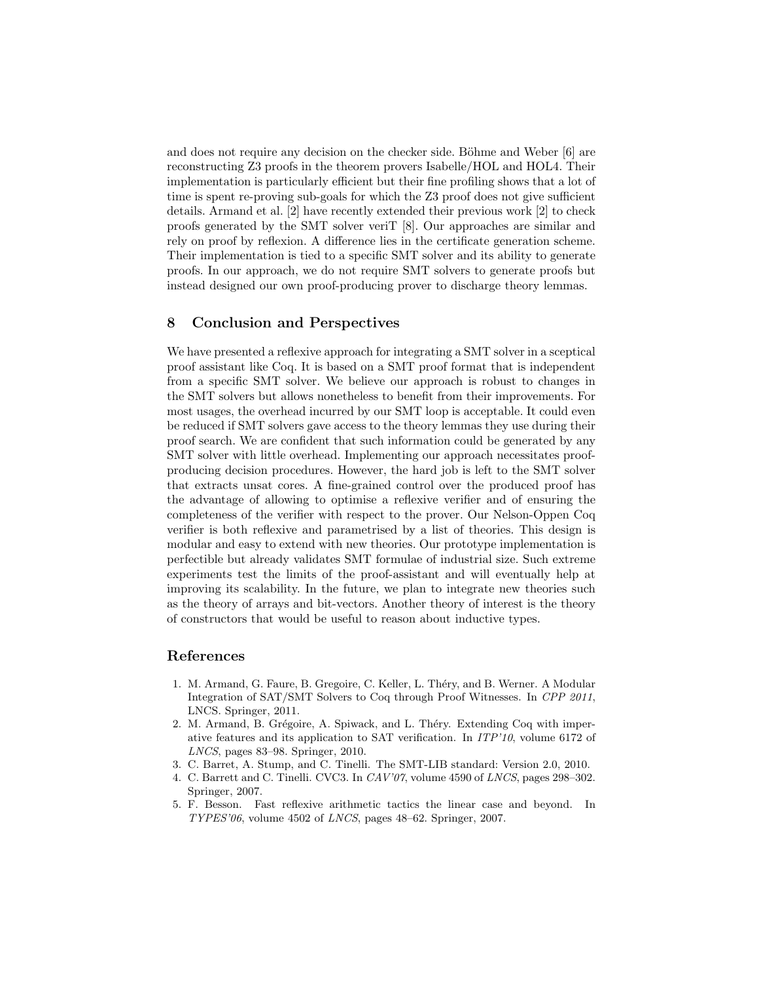and does not require any decision on the checker side. Böhme and Weber  $\lvert 6 \rvert$  are reconstructing Z3 proofs in the theorem provers Isabelle/HOL and HOL4. Their implementation is particularly efficient but their fine profiling shows that a lot of time is spent re-proving sub-goals for which the Z3 proof does not give sufficient details. Armand et al. [2] have recently extended their previous work [2] to check proofs generated by the SMT solver veriT [8]. Our approaches are similar and rely on proof by reflexion. A difference lies in the certificate generation scheme. Their implementation is tied to a specific SMT solver and its ability to generate proofs. In our approach, we do not require SMT solvers to generate proofs but instead designed our own proof-producing prover to discharge theory lemmas.

#### 8 Conclusion and Perspectives

We have presented a reflexive approach for integrating a SMT solver in a sceptical proof assistant like Coq. It is based on a SMT proof format that is independent from a specific SMT solver. We believe our approach is robust to changes in the SMT solvers but allows nonetheless to benefit from their improvements. For most usages, the overhead incurred by our SMT loop is acceptable. It could even be reduced if SMT solvers gave access to the theory lemmas they use during their proof search. We are confident that such information could be generated by any SMT solver with little overhead. Implementing our approach necessitates proofproducing decision procedures. However, the hard job is left to the SMT solver that extracts unsat cores. A fine-grained control over the produced proof has the advantage of allowing to optimise a reflexive verifier and of ensuring the completeness of the verifier with respect to the prover. Our Nelson-Oppen Coq verifier is both reflexive and parametrised by a list of theories. This design is modular and easy to extend with new theories. Our prototype implementation is perfectible but already validates SMT formulae of industrial size. Such extreme experiments test the limits of the proof-assistant and will eventually help at improving its scalability. In the future, we plan to integrate new theories such as the theory of arrays and bit-vectors. Another theory of interest is the theory of constructors that would be useful to reason about inductive types.

#### References

- 1. M. Armand, G. Faure, B. Gregoire, C. Keller, L. Théry, and B. Werner. A Modular Integration of SAT/SMT Solvers to Coq through Proof Witnesses. In CPP 2011, LNCS. Springer, 2011.
- 2. M. Armand, B. Grégoire, A. Spiwack, and L. Théry. Extending Coq with imperative features and its application to SAT verification. In ITP'10, volume 6172 of LNCS, pages 83–98. Springer, 2010.
- 3. C. Barret, A. Stump, and C. Tinelli. The SMT-LIB standard: Version 2.0, 2010.
- 4. C. Barrett and C. Tinelli. CVC3. In CAV'07, volume 4590 of LNCS, pages 298–302. Springer, 2007.
- 5. F. Besson. Fast reflexive arithmetic tactics the linear case and beyond. In  $TYPES'06$ , volume 4502 of *LNCS*, pages 48–62. Springer, 2007.